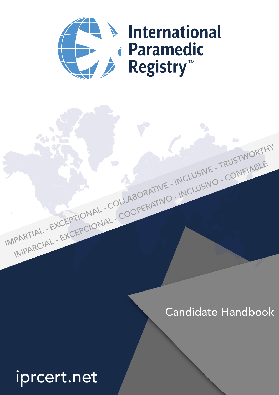

# **Musical** *i* Paramedic Registry™

IMPARCIAL - EXCEPCIONAL - COOPERATIVO - INCLUSIVO - CONFIABLE

IMPARTIAL - EXCEPTIONAL - COLLABORATIVE - INCLUSIVE - TRUSTWORTHY

# Candidate Handbook

# iprcert.net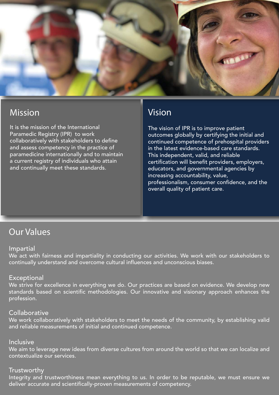

### Mission

It is the mission of the International Paramedic Registry (IPR) to work collaboratively with stakeholders to define and assess competency in the practice of paramedicine internationally and to maintain a current registry of individuals who attain and continually meet these standards.

### Vision

The vision of IPR is to improve patient outcomes globally by certifying the initial and continued competence of prehospital providers in the latest evidence-based care standards. This independent, valid, and reliable certification will benefit providers, employers, educators, and governmental agencies by increasing accountability, value, professionalism, consumer confidence, and the overall quality of patient care.

### Our Values

#### **Impartial**

We act with fairness and impartiality in conducting our activities. We work with our stakeholders to continually understand and overcome cultural influences and unconscious biases.

#### **Exceptional**

We strive for excellence in everything we do. Our practices are based on evidence. We develop new standards based on scientific methodologies. Our innovative and visionary approach enhances the profession.

#### **Collaborative**

We work collaboratively with stakeholders to meet the needs of the community, by establishing valid and reliable measurements of initial and continued competence.

#### Inclusive

We aim to leverage new ideas from diverse cultures from around the world so that we can localize and contextualize our services.

#### **Trustworthy**

Integrity and trustworthiness mean everything to us. In order to be reputable, we must ensure we deliver accurate and scientifically-proven measurements of competency.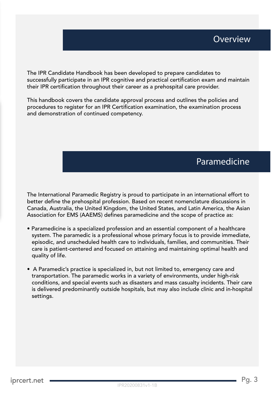The IPR Candidate Handbook has been developed to prepare candidates to successfully participate in an IPR cognitive and practical certification exam and maintain their IPR certification throughout their career as a prehospital care provider.

This handbook covers the candidate approval process and outlines the policies and procedures to register for an IPR Certification examination, the examination process and demonstration of continued competency.

### Paramedicine

The International Paramedic Registry is proud to participate in an international effort to better define the prehospital profession. Based on recent nomenclature discussions in Canada, Australia, the United Kingdom, the United States, and Latin America, the Asian Association for EMS (AAEMS) defines paramedicine and the scope of practice as:

- Paramedicine is a specialized profession and an essential component of a healthcare system. The paramedic is a professional whose primary focus is to provide immediate, episodic, and unscheduled health care to individuals, families, and communities. Their care is patient-centered and focused on attaining and maintaining optimal health and quality of life.
- A Paramedic's practice is specialized in, but not limited to, emergency care and transportation. The paramedic works in a variety of environments, under high-risk conditions, and special events such as disasters and mass casualty incidents. Their care is delivered predominantly outside hospitals, but may also include clinic and in-hospital settings.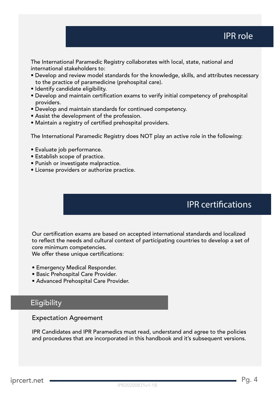### IPR role

The International Paramedic Registry collaborates with local, state, national and international stakeholders to:

- Develop and review model standards for the knowledge, skills, and attributes necessary to the practice of paramedicine (prehospital care).
- Identify candidate eligibility.
- Develop and maintain certification exams to verify initial competency of prehospital providers.
- Develop and maintain standards for continued competency.
- Assist the development of the profession.
- Maintain a registry of certified prehospital providers.

The International Paramedic Registry does NOT play an active role in the following:

- Evaluate job performance.
- Establish scope of practice.
- Punish or investigate malpractice.
- License providers or authorize practice.

### **IPR certifications**

Our certification exams are based on accepted international standards and localized to reflect the needs and cultural context of participating countries to develop a set of core minimum competencies.

We offer these unique certifications:

- Emergency Medical Responder.
- Basic Prehospital Care Provider.
- Advanced Prehospital Care Provider.

### **Eligibility**

#### Expectation Agreement

IPR Candidates and IPR Paramedics must read, understand and agree to the policies and procedures that are incorporated in this handbook and it's subsequent versions.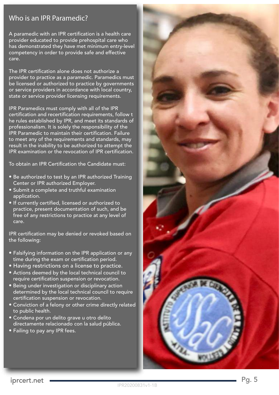### Who is an IPR Paramedic?

A paramedic with an IPR certification is a health care provider educated to provide prehospital care who has demonstrated they have met minimum entry-level competency in order to provide safe and effective care.

The IPR certification alone does not authorize a provider to practice as a paramedic. Paramedics must be licensed or authorized to practice by governments or service providers in accordance with local country, state or service provider licensing requirements.

IPR Paramedics must comply with all of the IPR certification and recertification requirements, follow t he rules established by IPR, and meet its standards of professionalism. It is solely the responsibility of the IPR Paramedic to maintain their certification. Failure to meet any of the requirements and standards, may result in the inability to be authorized to attempt the IPR examination or the revocation of IPR certification.

To obtain an IPR Certification the Candidate must:

- Be authorized to test by an IPR authorized Training Center or IPR authorized Employer.
- Submit a complete and truthful examination application.
- If currently certified, licensed or authorized to practice, present documentation of such, and be free of any restrictions to practice at any level of care.

IPR certification may be denied or revoked based on the following:

- Falsifying information on the IPR application or any time during the exam or certification period.
- Having restrictions on a license to practice.
- Actions deemed by the local technical council to require certification suspension or revocation.
- Being under investigation or disciplinary action determined by the local technical council to require certification suspension or revocation.
- Conviction of a felony or other crime directly related to public health.
- Condena por un delito grave u otro delito directamente relacionado con la salud pública.
- Failing to pay any IPR fees.

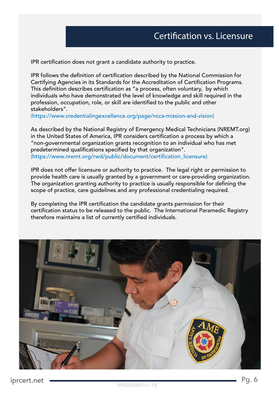IPR certification does not grant a candidate authority to practice.

IPR follows the definition of certification described by the National Commission for Certifying Agencies in its Standards for the Accreditation of Certification Programs. This definition describes certification as "a process, often voluntary, by which individuals who have demonstrated the level of knowledge and skill required in the profession, occupation, role, or skill are identified to the public and other stakeholders".

(https://www.credentialingexcellence.org/page/ncca-mission-and-vision)

As described by the National Registry of Emergency Medical Technicians (NREMT.org) in the United States of America, IPR considers certification a process by which a "non-governmental organization grants recognition to an individual who has met predetermined qualifications specified by that organization". (https://www.nremt.org/rwd/public/document/certification\_licensure)

IPR does not offer licensure or authority to practice. The legal right or permission to provide health care is usually granted by a government or care-providing organization. The organization granting authority to practice is usually responsible for defining the scope of practice, care guidelines and any professional credentialing required.

By completing the IPR certification the candidate grants permission for their certification status to be released to the public. The International Paramedic Registry therefore maintains a list of currently certified individuals.

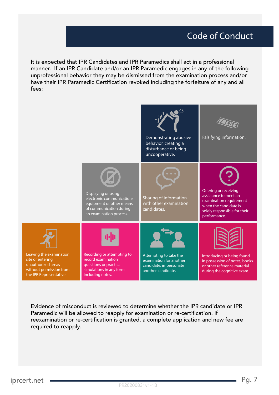## Code of Conduct

It is expected that IPR Candidates and IPR Paramedics shall act in a professional manner. If an IPR Candidate and/or an IPR Paramedic engages in any of the following unprofessional behavior they may be dismissed from the examination process and/or have their IPR Paramedic Certification revoked including the forfeiture of any and all fees:



Evidence of misconduct is reviewed to determine whether the IPR candidate or IPR Paramedic will be allowed to reapply for examination or re-certification. If reexamination or re-certification is granted, a complete application and new fee are required to reapply.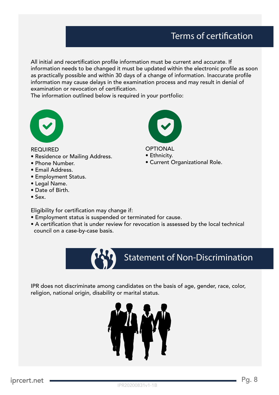# Terms of certification

All initial and recertification profile information must be current and accurate. If information needs to be changed it must be updated within the electronic profile as soon as practically possible and within 30 days of a change of information. Inaccurate profile information may cause delays in the examination process and may result in denial of examination or revocation of certification.

The information outlined below is required in your portfolio:



REQUIRED

- Residence or Mailing Address.
- Phone Number.
- Email Address.
- Employment Status.
- Legal Name.
- Date of Birth.
- Sex.

Eligibility for certification may change if:

- Employment status is suspended or terminated for cause.
- A certification that is under review for revocation is assessed by the local technical council on a case-by-case basis.



**OPTIONAL** • Ethnicity.

• Current Organizational Role.

IPR does not discriminate among candidates on the basis of age, gender, race, color, religion, national origin, disability or marital status.

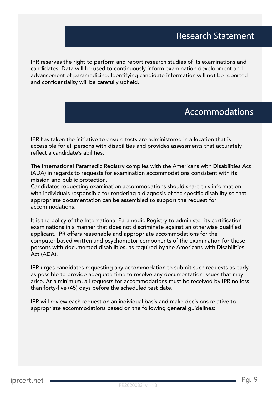IPR reserves the right to perform and report research studies of its examinations and candidates. Data will be used to continuously inform examination development and advancement of paramedicine. Identifying candidate information will not be reported and confidentiality will be carefully upheld.

### Accommodations

IPR has taken the initiative to ensure tests are administered in a location that is accessible for all persons with disabilities and provides assessments that accurately reflect a candidate's abilities.

The International Paramedic Registry complies with the Americans with Disabilities Act (ADA) in regards to requests for examination accommodations consistent with its mission and public protection.

Candidates requesting examination accommodations should share this information with individuals responsible for rendering a diagnosis of the specific disability so that appropriate documentation can be assembled to support the request for accommodations.

It is the policy of the International Paramedic Registry to administer its certification examinations in a manner that does not discriminate against an otherwise qualified applicant. IPR offers reasonable and appropriate accommodations for the computer-based written and psychomotor components of the examination for those persons with documented disabilities, as required by the Americans with Disabilities Act (ADA).

IPR urges candidates requesting any accommodation to submit such requests as early as possible to provide adequate time to resolve any documentation issues that may arise. At a minimum, all requests for accommodations must be received by IPR no less than forty-five (45) days before the scheduled test date.

IPR will review each request on an individual basis and make decisions relative to appropriate accommodations based on the following general guidelines: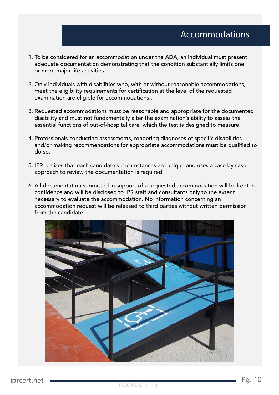- 1. To be considered for an accommodation under the ADA, an individual must present adequate documentation demonstrating that the condition substantially limits one or more major life activities.
- 2. Only individuals with disabilities who, with or without reasonable accommodations, meet the eligibility requirements for certification at the level of the requested examination are eligible for accommodations..
- 3. Requested accommodations must be reasonable and appropriate for the documented disability and must not fundamentally alter the examination's ability to assess the essential functions of out-of-hospital care, which the test is designed to measure.
- 4. Professionals conducting assessments, rendering diagnoses of specific disabilities and/or making recommendations for appropriate accommodations must be qualified to do so.
- 5. IPR realizes that each candidate's circumstances are unique and uses a case by case approach to review the documentation is required.
- 6. All documentation submitted in support of a requested accommodation will be kept in confidence and will be disclosed to IPR staff and consultants only to the extent necessary to evaluate the accommodation. No information concerning an accommodation request will be released to third parties without written permission from the candidate.

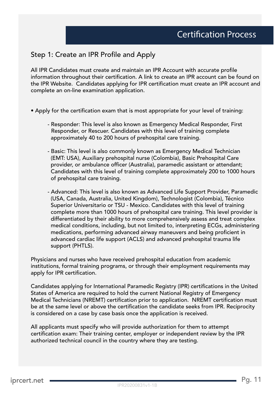### Step 1: Create an IPR Profile and Apply

All IPR Candidates must create and maintain an IPR Account with accurate profile information throughout their certification. A link to create an IPR account can be found on the IPR Website. Candidates applying for IPR certification must create an IPR account and complete an on-line examination application.

- Apply for the certification exam that is most appropriate for your level of training:
	- Responder: This level is also known as Emergency Medical Responder, First Responder, or Rescuer. Candidates with this level of training complete approximately 40 to 200 hours of prehospital care training.
	- Basic: This level is also commonly known as Emergency Medical Technician (EMT: USA), Auxiliary prehospital nurse (Colombia), Basic Prehospital Care provider, or ambulance officer (Australia), paramedic assistant or attendant; Candidates with this level of training complete approximately 200 to 1000 hours of prehospital care training.
	- Advanced: This level is also known as Advanced Life Support Provider, Paramedic (USA, Canada, Australia, United Kingdom), Technologist (Colombia), Técnico Superior Universitario or TSU - Mexico. Candidates with this level of training complete more than 1000 hours of prehospital care training. This level provider is differentiated by their ability to more comprehensively assess and treat complex medical conditions, including, but not limited to, interpreting ECGs, administering medications, performing advanced airway maneuvers and being proficient in advanced cardiac life support (ACLS) and advanced prehospital trauma life support (PHTLS).

Physicians and nurses who have received prehospital education from academic institutions, formal training programs, or through their employment requirements may apply for IPR certification.

Candidates applying for International Paramedic Registry (IPR) certifications in the United States of America are required to hold the current National Registry of Emergency Medical Technicians (NREMT) certification prior to application. NREMT certification must be at the same level or above the certification the candidate seeks from IPR. Reciprocity is considered on a case by case basis once the application is received.

All applicants must specify who will provide authorization for them to attempt certification exam: Their training center, employer or independent review by the IPR authorized technical council in the country where they are testing.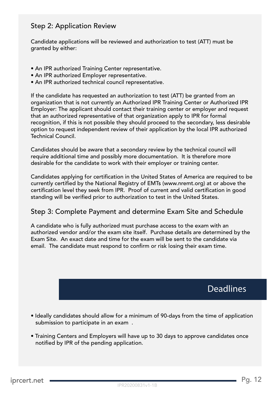### Step 2: Application Review

Candidate applications will be reviewed and authorization to test (ATT) must be granted by either:

- An IPR authorized Training Center representative.
- An IPR authorized Employer representative.
- An IPR authorized technical council representative.

If the candidate has requested an authorization to test (ATT) be granted from an organization that is not currently an Authorized IPR Training Center or Authorized IPR Employer: The applicant should contact their training center or employer and request that an authorized representative of that organization apply to IPR for formal recognition, if this is not possible they should proceed to the secondary, less desirable option to request independent review of their application by the local IPR authorized Technical Council.

Candidates should be aware that a secondary review by the technical council will require additional time and possibly more documentation. It is therefore more desirable for the candidate to work with their employer or training center.

Candidates applying for certification in the United States of America are required to be currently certified by the National Registry of EMTs (www.nremt.org) at or above the certification level they seek from IPR. Proof of current and valid certification in good standing will be verified prior to authorization to test in the United States.

### Step 3: Complete Payment and determine Exam Site and Schedule

A candidate who is fully authorized must purchase access to the exam with an authorized vendor and/or the exam site itself. Purchase details are determined by the Exam Site. An exact date and time for the exam will be sent to the candidate via email. The candidate must respond to confirm or risk losing their exam time.

**Deadlines** 

- Ideally candidates should allow for a minimum of 90-days from the time of application submission to participate in an exam .
- Training Centers and Employers will have up to 30 days to approve candidates once notified by IPR of the pending application.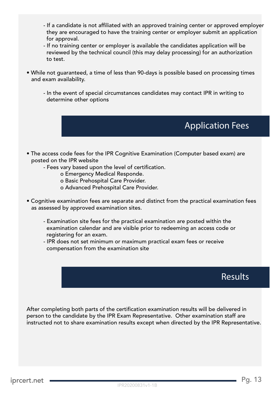- If a candidate is not affiliated with an approved training center or approved employer they are encouraged to have the training center or employer submit an application for approval.
- If no training center or employer is available the candidates application will be reviewed by the technical council (this may delay processing) for an authorization to test.
- While not guaranteed, a time of less than 90-days is possible based on processing times and exam availability.
	- In the event of special circumstances candidates may contact IPR in writing to determine other options

# Application Fees

- The access code fees for the IPR Cognitive Examination (Computer based exam) are posted on the IPR website
	- Fees vary based upon the level of certification.
		- o Emergency Medical Responde.
		- o Basic Prehospital Care Provider.
		- o Advanced Prehospital Care Provider.
- Cognitive examination fees are separate and distinct from the practical examination fees as assessed by approved examination sites.
	- Examination site fees for the practical examination are posted within the examination calendar and are visible prior to redeeming an access code or registering for an exam.
	- IPR does not set minimum or maximum practical exam fees or receive compensation from the examination site

Results

After completing both parts of the certification examination results will be delivered in person to the candidate by the IPR Exam Representative. Other examination staff are instructed not to share examination results except when directed by the IPR Representative.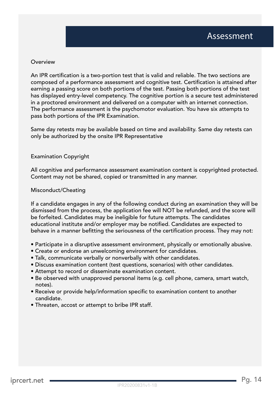#### Overview

An IPR certification is a two-portion test that is valid and reliable. The two sections are composed of a performance assessment and cognitive test. Certification is attained after earning a passing score on both portions of the test. Passing both portions of the test has displayed entry-level competency. The cognitive portion is a secure test administered in a proctored environment and delivered on a computer with an internet connection. The performance assessment is the psychomotor evaluation. You have six attempts to pass both portions of the IPR Examination.

Same day retests may be available based on time and availability. Same day retests can only be authorized by the onsite IPR Representative

#### Examination Copyright

All cognitive and performance assessment examination content is copyrighted protected. Content may not be shared, copied or transmitted in any manner.

#### Misconduct/Cheating

If a candidate engages in any of the following conduct during an examination they will be dismissed from the process, the application fee will NOT be refunded, and the score will be forfeited. Candidates may be ineligible for future attempts. The candidates educational institute and/or employer may be notified. Candidates are expected to behave in a manner befitting the seriousness of the certification process. They may not:

- Participate in a disruptive assessment environment, physically or emotionally abusive.
- Create or endorse an unwelcoming environment for candidates.
- Talk, communicate verbally or nonverbally with other candidates.
- Discuss examination content (test questions, scenarios) with other candidates.
- Attempt to record or disseminate examination content.
- Be observed with unapproved personal items (e.g. cell phone, camera, smart watch, notes).
- Receive or provide help/information specific to examination content to another candidate.
- Threaten, accost or attempt to bribe IPR staff.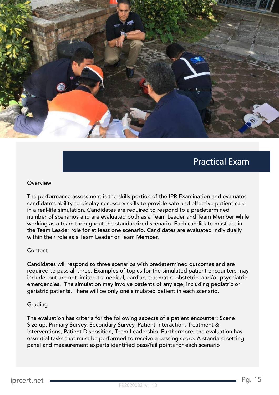

### Practical Exam

#### Overview

The performance assessment is the skills portion of the IPR Examination and evaluates candidate's ability to display necessary skills to provide safe and effective patient care in a real-life simulation. Candidates are required to respond to a predetermined number of scenarios and are evaluated both as a Team Leader and Team Member while working as a team throughout the standardized scenario. Each candidate must act in the Team Leader role for at least one scenario. Candidates are evaluated individually within their role as a Team Leader or Team Member.

#### Content

Candidates will respond to three scenarios with predetermined outcomes and are required to pass all three. Examples of topics for the simulated patient encounters may include, but are not limited to medical, cardiac, traumatic, obstetric, and/or psychiatric emergencies. The simulation may involve patients of any age, including pediatric or geriatric patients. There will be only one simulated patient in each scenario.

#### Grading

The evaluation has criteria for the following aspects of a patient encounter: Scene Size-up, Primary Survey, Secondary Survey, Patient Interaction, Treatment & Interventions, Patient Disposition, Team Leadership. Furthermore, the evaluation has essential tasks that must be performed to receive a passing score. A standard setting panel and measurement experts identified pass/fail points for each scenario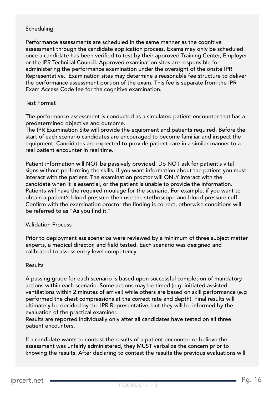#### Scheduling

Performance assessments are scheduled in the same manner as the cognitive assessment through the candidate application process. Exams may only be scheduled once a candidate has been verified to test by their approved Training Center, Employer or the IPR Technical Council. Approved examination sites are responsible for administering the performance examination under the oversight of the onsite IPR Representative. Examination sites may determine a reasonable fee structure to deliver the performance assessment portion of the exam. This fee is separate from the IPR Exam Access Code fee for the cognitive examination.

#### Test Format

The performance assessment is conducted as a simulated patient encounter that has a predetermined objective and outcome.

The IPR Examination Site will provide the equipment and patients required. Before the start of each scenario candidates are encouraged to become familiar and inspect the equipment. Candidates are expected to provide patient care in a similar manner to a real patient encounter in real time.

Patient information will NOT be passively provided. Do NOT ask for patient's vital signs without performing the skills. If you want information about the patient you must interact with the patient. The examination proctor will ONLY interact with the candidate when it is essential, or the patient is unable to provide the information. Patients will have the required moulage for the scenario. For example, if you want to obtain a patient's blood pressure then use the stethoscope and blood pressure cuff. Confirm with the examination proctor the finding is correct, otherwise conditions will be referred to as "As you find it."

#### Validation Process

Prior to deployment ass scenarios were reviewed by a minimum of three subject matter experts, a medical director, and field tested. Each scenario was designed and calibrated to assess entry level competency.

#### Results

A passing grade for each scenario is based upon successful completion of mandatory actions within each scenario. Some actions may be timed (e.g. initiated assisted ventilations within 2 minutes of arrival) while others are based on skill performance (e.g performed the chest compressions at the correct rate and depth). Final results will ultimately be decided by the IPR Representative, but they will be informed by the evaluation of the practical examiner.

Results are reported individually only after all candidates have tested on all three patient encounters.

If a candidate wants to contest the results of a patient encounter or believe the assessment was unfairly administered, they MUST verbalize the concern prior to knowing the results. After declaring to contest the results the previous evaluations will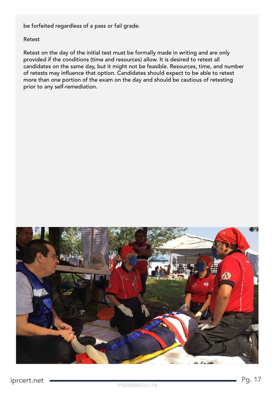be forfeited regardless of a pass or fail grade.

#### Retest

Retest on the day of the initial test must be formally made in writing and are only provided if the conditions (time and resources) allow. It is desired to retest all candidates on the same day, but it might not be feasible. Resources, time, and number of retests may influence that option. Candidates should expect to be able to retest more than one portion of the exam on the day and should be cautious of retesting prior to any self-remediation.

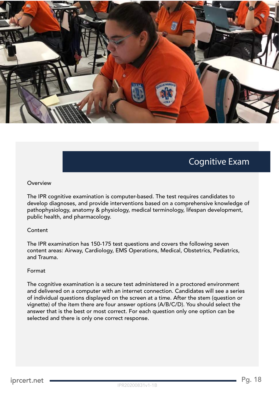

# Cognitive Exam

#### Overview

The IPR cognitive examination is computer-based. The test requires candidates to develop diagnoses, and provide interventions based on a comprehensive knowledge of pathophysiology, anatomy & physiology, medical terminology, lifespan development, public health, and pharmacology.

#### Content

The IPR examination has 150-175 test questions and covers the following seven content areas: Airway, Cardiology, EMS Operations, Medical, Obstetrics, Pediatrics, and Trauma.

#### Format

The cognitive examination is a secure test administered in a proctored environment and delivered on a computer with an internet connection. Candidates will see a series of individual questions displayed on the screen at a time. After the stem (question or vignette) of the item there are four answer options (A/B/C/D). You should select the answer that is the best or most correct. For each question only one option can be selected and there is only one correct response.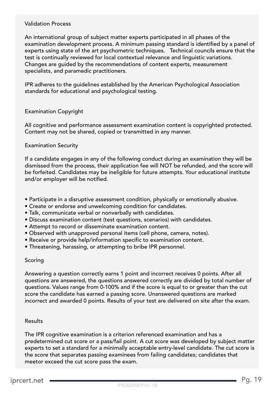#### Validation Process

An international group of subject matter experts participated in all phases of the examination development process. A minimum passing standard is identified by a panel of experts using state of the art psychometric techniques. Technical councils ensure that the test is continually reviewed for local contextual relevance and linguistic variations. Changes are guided by the recommendations of content experts, measurement specialists, and paramedic practitioners.

IPR adheres to the guidelines established by the American Psychological Association standards for educational and psychological testing.

#### Examination Copyright

All cognitive and performance assessment examination content is copyrighted protected. Content may not be shared, copied or transmitted in any manner.

#### Examination Security

If a candidate engages in any of the following conduct during an examination they will be dismissed from the process, their application fee will NOT be refunded, and the score will be forfeited. Candidates may be ineligible for future attempts. Your educational institute and/or employer will be notified.

- Participate in a disruptive assessment condition, physically or emotionally abusive.
- Create or endorse and unwelcoming condition for candidates.
- Talk, communicate verbal or nonverbally with candidates.
- Discuss examination content (test questions, scenarios) with candidates.
- Attempt to record or disseminate examination content.
- Observed with unapproved personal items (cell phone, camera, notes).
- Receive or provide help/information specific to examination content.
- Threatening, harassing, or attempting to bribe IPR personnel.

#### Scoring

Answering a question correctly earns 1 point and incorrect receives 0 points. After all questions are answered, the questions answered correctly are divided by total number of questions. Values range from 0-100% and if the score is equal to or greater than the cut score the candidate has earned a passing score. Unanswered questions are marked incorrect and awarded 0 points. Results of your test are delivered on site after the exam.

#### Results

The IPR cognitive examination is a criterion referenced examination and has a predetermined cut score or a pass/fail point. A cut score was developed by subject matter experts to set a standard for a minimally acceptable entry-level candidate. The cut score is the score that separates passing examinees from failing candidates; candidates that meetor exceed the cut score pass the exam.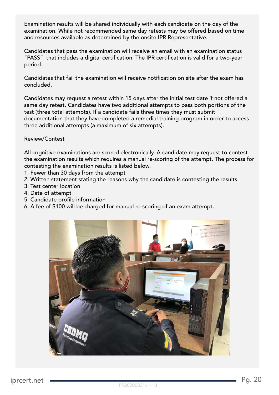Examination results will be shared individually with each candidate on the day of the examination. While not recommended same day retests may be offered based on time and resources available as determined by the onsite IPR Representative.

Candidates that pass the examination will receive an email with an examination status "PASS" that includes a digital certification. The IPR certification is valid for a two-year period.

Candidates that fail the examination will receive notification on site after the exam has concluded.

Candidates may request a retest within 15 days after the initial test date if not offered a same day retest. Candidates have two additional attempts to pass both portions of the test (three total attempts). If a candidate fails three times they must submit documentation that they have completed a remedial training program in order to access three additional attempts (a maximum of six attempts).

#### Review/Contest

All cognitive examinations are scored electronically. A candidate may request to contest the examination results which requires a manual re-scoring of the attempt. The process for contesting the examination results is listed below.

- 1. Fewer than 30 days from the attempt
- 2. Written statement stating the reasons why the candidate is contesting the results
- 3. Test center location
- 4. Date of attempt
- 5. Candidate profile information
- 6. A fee of \$100 will be charged for manual re-scoring of an exam attempt.